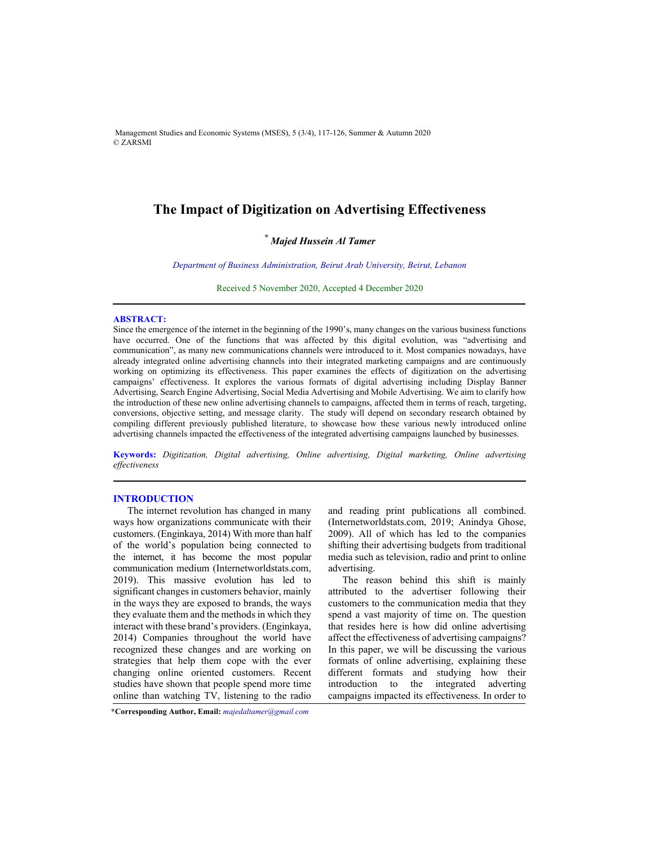Management Studies and Economic Systems (MSES), 5 (3/4), 117-126, Summer & Autumn 2020 © ZARSMI

# **The Impact of Digitization on Advertising Effectiveness**

## *\* Majed Hussein Al Tamer*

*Department of Business Administration, Beirut Arab University, Beirut, Lebanon* 

Received 5 November 2020, Accepted 4 December 2020

#### **ABSTRACT:**

Since the emergence of the internet in the beginning of the 1990's, many changes on the various business functions have occurred. One of the functions that was affected by this digital evolution, was "advertising and communication", as many new communications channels were introduced to it. Most companies nowadays, have already integrated online advertising channels into their integrated marketing campaigns and are continuously working on optimizing its effectiveness. This paper examines the effects of digitization on the advertising campaigns' effectiveness. It explores the various formats of digital advertising including Display Banner Advertising, Search Engine Advertising, Social Media Advertising and Mobile Advertising. We aim to clarify how the introduction of these new online advertising channels to campaigns, affected them in terms of reach, targeting, conversions, objective setting, and message clarity. The study will depend on secondary research obtained by compiling different previously published literature, to showcase how these various newly introduced online advertising channels impacted the effectiveness of the integrated advertising campaigns launched by businesses.

**Keywords:** *Digitization, Digital advertising, Online advertising, Digital marketing, Online advertising effectiveness* 

#### **INTRODUCTION**

The internet revolution has changed in many ways how organizations communicate with their customers. (Enginkaya, 2014) With more than half of the world's population being connected to the internet, it has become the most popular communication medium (Internetworldstats.com, 2019). This massive evolution has led to significant changes in customers behavior, mainly in the ways they are exposed to brands, the ways they evaluate them and the methods in which they interact with these brand's providers. (Enginkaya, 2014) Companies throughout the world have recognized these changes and are working on strategies that help them cope with the ever changing online oriented customers. Recent studies have shown that people spend more time online than watching TV, listening to the radio

and reading print publications all combined. (Internetworldstats.com, 2019; Anindya Ghose, 2009). All of which has led to the companies shifting their advertising budgets from traditional media such as television, radio and print to online advertising.

The reason behind this shift is mainly attributed to the advertiser following their customers to the communication media that they spend a vast majority of time on. The question that resides here is how did online advertising affect the effectiveness of advertising campaigns? In this paper, we will be discussing the various formats of online advertising, explaining these different formats and studying how their introduction to the integrated adverting campaigns impacted its effectiveness. In order to

**<sup>\*</sup>Corresponding Author, Email:** *majedaltamer@gmail.com*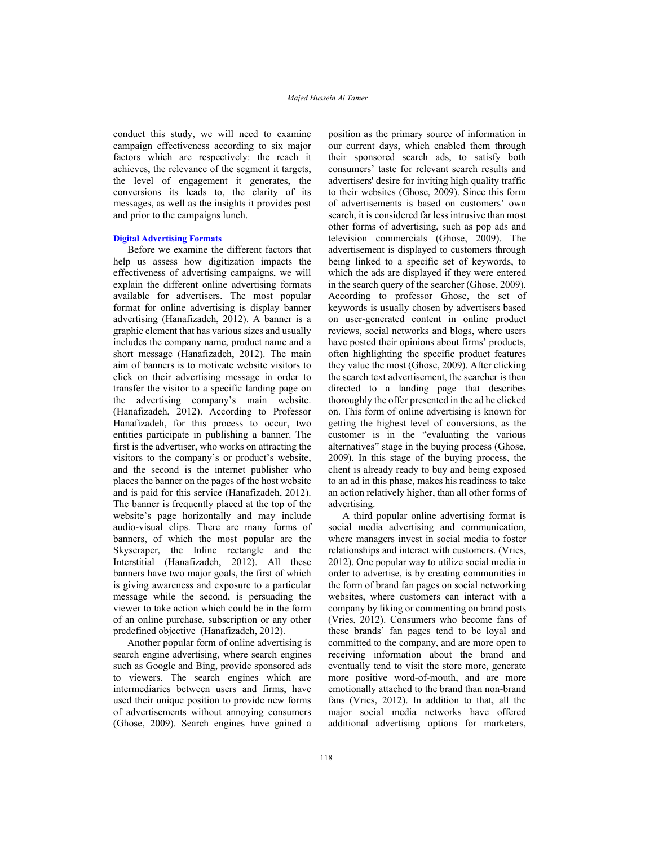conduct this study, we will need to examine campaign effectiveness according to six major factors which are respectively: the reach it achieves, the relevance of the segment it targets, the level of engagement it generates, the conversions its leads to, the clarity of its messages, as well as the insights it provides post and prior to the campaigns lunch.

#### **Digital Advertising Formats**

Before we examine the different factors that help us assess how digitization impacts the effectiveness of advertising campaigns, we will explain the different online advertising formats available for advertisers. The most popular format for online advertising is display banner advertising (Hanafizadeh, 2012). A banner is a graphic element that has various sizes and usually includes the company name, product name and a short message (Hanafizadeh, 2012). The main aim of banners is to motivate website visitors to click on their advertising message in order to transfer the visitor to a specific landing page on the advertising company's main website. (Hanafizadeh, 2012). According to Professor Hanafizadeh, for this process to occur, two entities participate in publishing a banner. The first is the advertiser, who works on attracting the visitors to the company's or product's website, and the second is the internet publisher who places the banner on the pages of the host website and is paid for this service (Hanafizadeh, 2012). The banner is frequently placed at the top of the website's page horizontally and may include audio-visual clips. There are many forms of banners, of which the most popular are the Skyscraper, the Inline rectangle and the Interstitial (Hanafizadeh, 2012). All these banners have two major goals, the first of which is giving awareness and exposure to a particular message while the second, is persuading the viewer to take action which could be in the form of an online purchase, subscription or any other predefined objective (Hanafizadeh, 2012).

Another popular form of online advertising is search engine advertising, where search engines such as Google and Bing, provide sponsored ads to viewers. The search engines which are intermediaries between users and firms, have used their unique position to provide new forms of advertisements without annoying consumers (Ghose, 2009). Search engines have gained a position as the primary source of information in our current days, which enabled them through their sponsored search ads, to satisfy both consumers' taste for relevant search results and advertisers' desire for inviting high quality traffic to their websites (Ghose, 2009). Since this form of advertisements is based on customers' own search, it is considered far less intrusive than most other forms of advertising, such as pop ads and television commercials (Ghose, 2009). The advertisement is displayed to customers through being linked to a specific set of keywords, to which the ads are displayed if they were entered in the search query of the searcher (Ghose, 2009). According to professor Ghose, the set of keywords is usually chosen by advertisers based on user-generated content in online product reviews, social networks and blogs, where users have posted their opinions about firms' products, often highlighting the specific product features they value the most (Ghose, 2009). After clicking the search text advertisement, the searcher is then directed to a landing page that describes thoroughly the offer presented in the ad he clicked on. This form of online advertising is known for getting the highest level of conversions, as the customer is in the "evaluating the various alternatives" stage in the buying process (Ghose, 2009). In this stage of the buying process, the client is already ready to buy and being exposed to an ad in this phase, makes his readiness to take an action relatively higher, than all other forms of advertising.

A third popular online advertising format is social media advertising and communication, where managers invest in social media to foster relationships and interact with customers. (Vries, 2012). One popular way to utilize social media in order to advertise, is by creating communities in the form of brand fan pages on social networking websites, where customers can interact with a company by liking or commenting on brand posts (Vries, 2012). Consumers who become fans of these brands' fan pages tend to be loyal and committed to the company, and are more open to receiving information about the brand and eventually tend to visit the store more, generate more positive word-of-mouth, and are more emotionally attached to the brand than non-brand fans (Vries, 2012). In addition to that, all the major social media networks have offered additional advertising options for marketers,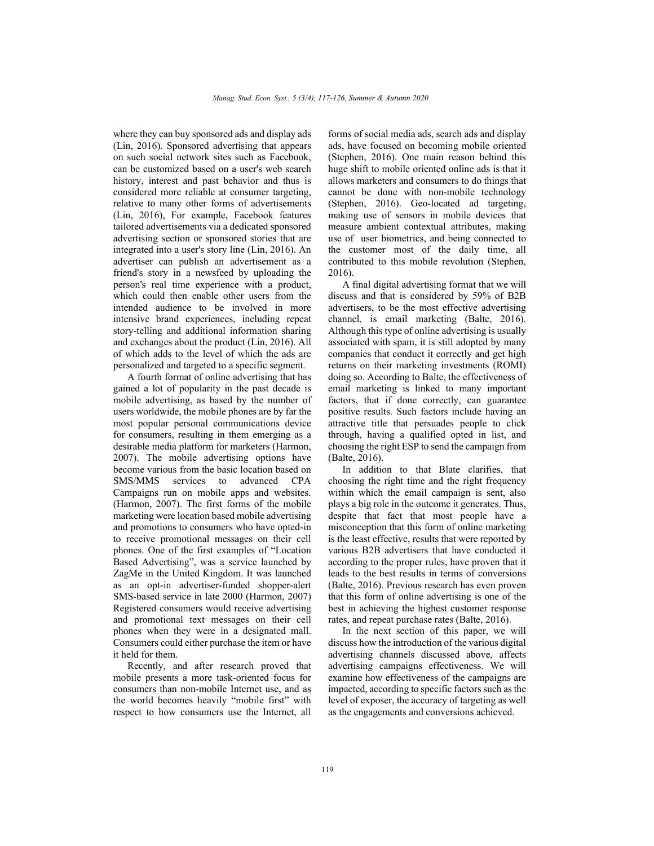where they can buy sponsored ads and display ads (Lin, 2016). Sponsored advertising that appears on such social network sites such as Facebook, can be customized based on a user's web search history, interest and past behavior and thus is considered more reliable at consumer targeting, relative to many other forms of advertisements (Lin, 2016), For example, Facebook features tailored advertisements via a dedicated sponsored advertising section or sponsored stories that are integrated into a user's story line (Lin, 2016). An advertiser can publish an advertisement as a friend's story in a newsfeed by uploading the person's real time experience with a product, which could then enable other users from the intended audience to be involved in more intensive brand experiences, including repeat story-telling and additional information sharing and exchanges about the product (Lin, 2016). All of which adds to the level of which the ads are personalized and targeted to a specific segment.

A fourth format of online advertising that has gained a lot of popularity in the past decade is mobile advertising, as based by the number of users worldwide, the mobile phones are by far the most popular personal communications device for consumers, resulting in them emerging as a desirable media platform for marketers (Harmon, 2007). The mobile advertising options have become various from the basic location based on SMS/MMS services to advanced CPA Campaigns run on mobile apps and websites. (Harmon, 2007). The first forms of the mobile marketing were location based mobile advertising and promotions to consumers who have opted-in to receive promotional messages on their cell phones. One of the first examples of "Location Based Advertising", was a service launched by ZagMe in the United Kingdom. It was launched as an opt-in advertiser-funded shopper-alert SMS-based service in late 2000 (Harmon, 2007) Registered consumers would receive advertising and promotional text messages on their cell phones when they were in a designated mall. Consumers could either purchase the item or have it held for them.

Recently, and after research proved that mobile presents a more task-oriented focus for consumers than non-mobile Internet use, and as the world becomes heavily "mobile first" with respect to how consumers use the Internet, all

forms of social media ads, search ads and display ads, have focused on becoming mobile oriented (Stephen, 2016). One main reason behind this huge shift to mobile oriented online ads is that it allows marketers and consumers to do things that cannot be done with non-mobile technology (Stephen, 2016). Geo-located ad targeting, making use of sensors in mobile devices that measure ambient contextual attributes, making use of user biometrics, and being connected to the customer most of the daily time, all contributed to this mobile revolution (Stephen, 2016).

A final digital advertising format that we will discuss and that is considered by 59% of B2B advertisers, to be the most effective advertising channel, is email marketing (Balte, 2016). Although this type of online advertising is usually associated with spam, it is still adopted by many companies that conduct it correctly and get high returns on their marketing investments (ROMI) doing so. According to Balte, the effectiveness of email marketing is linked to many important factors, that if done correctly, can guarantee positive results. Such factors include having an attractive title that persuades people to click through, having a qualified opted in list, and choosing the right ESP to send the campaign from (Balte, 2016).

In addition to that Blate clarifies, that choosing the right time and the right frequency within which the email campaign is sent, also plays a big role in the outcome it generates. Thus, despite that fact that most people have a misconception that this form of online marketing is the least effective, results that were reported by various B2B advertisers that have conducted it according to the proper rules, have proven that it leads to the best results in terms of conversions (Balte, 2016). Previous research has even proven that this form of online advertising is one of the best in achieving the highest customer response rates, and repeat purchase rates (Balte, 2016).

In the next section of this paper, we will discuss how the introduction of the various digital advertising channels discussed above, affects advertising campaigns effectiveness. We will examine how effectiveness of the campaigns are impacted, according to specific factors such as the level of exposer, the accuracy of targeting as well as the engagements and conversions achieved.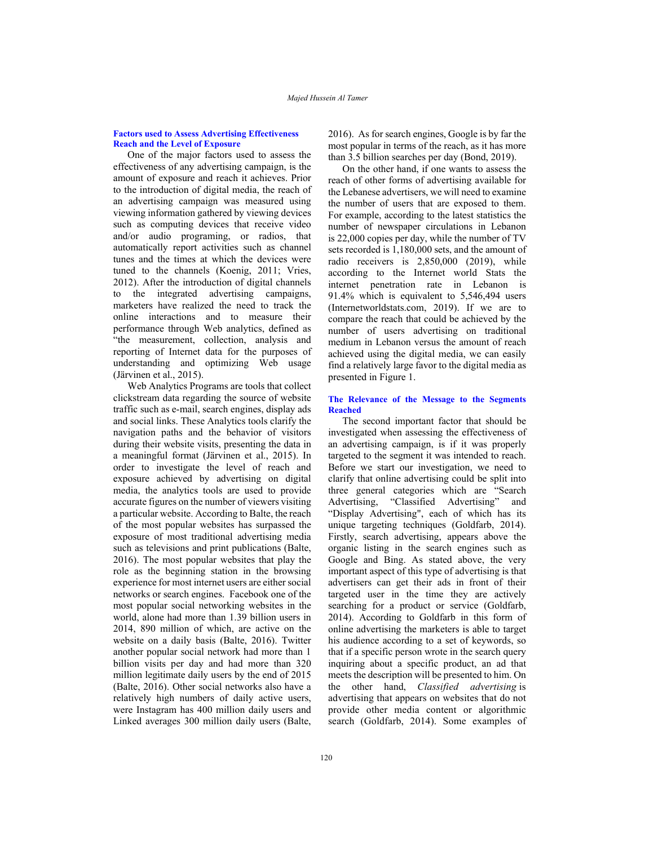## **Factors used to Assess Advertising Effectiveness Reach and the Level of Exposure**

One of the major factors used to assess the effectiveness of any advertising campaign, is the amount of exposure and reach it achieves. Prior to the introduction of digital media, the reach of an advertising campaign was measured using viewing information gathered by viewing devices such as computing devices that receive video and/or audio programing, or radios, that automatically report activities such as channel tunes and the times at which the devices were tuned to the channels (Koenig, 2011; Vries, 2012). After the introduction of digital channels to the integrated advertising campaigns, marketers have realized the need to track the online interactions and to measure their performance through Web analytics, defined as "the measurement, collection, analysis and reporting of Internet data for the purposes of understanding and optimizing Web usage (Järvinen et al., 2015).

Web Analytics Programs are tools that collect clickstream data regarding the source of website traffic such as e-mail, search engines, display ads and social links. These Analytics tools clarify the navigation paths and the behavior of visitors during their website visits, presenting the data in a meaningful format (Järvinen et al., 2015). In order to investigate the level of reach and exposure achieved by advertising on digital media, the analytics tools are used to provide accurate figures on the number of viewers visiting a particular website. According to Balte, the reach of the most popular websites has surpassed the exposure of most traditional advertising media such as televisions and print publications (Balte, 2016). The most popular websites that play the role as the beginning station in the browsing experience for most internet users are either social networks or search engines. Facebook one of the most popular social networking websites in the world, alone had more than 1.39 billion users in 2014, 890 million of which, are active on the website on a daily basis (Balte, 2016). Twitter another popular social network had more than 1 billion visits per day and had more than 320 million legitimate daily users by the end of 2015 (Balte, 2016). Other social networks also have a relatively high numbers of daily active users, were Instagram has 400 million daily users and Linked averages 300 million daily users (Balte,

2016). As for search engines, Google is by far the most popular in terms of the reach, as it has more than 3.5 billion searches per day (Bond, 2019).

On the other hand, if one wants to assess the reach of other forms of advertising available for the Lebanese advertisers, we will need to examine the number of users that are exposed to them. For example, according to the latest statistics the number of newspaper circulations in Lebanon is 22,000 copies per day, while the number of TV sets recorded is 1,180,000 sets, and the amount of radio receivers is 2,850,000 (2019), while according to the Internet world Stats the internet penetration rate in Lebanon is 91.4% which is equivalent to 5,546,494 users (Internetworldstats.com, 2019). If we are to compare the reach that could be achieved by the number of users advertising on traditional medium in Lebanon versus the amount of reach achieved using the digital media, we can easily find a relatively large favor to the digital media as presented in Figure 1.

## **The Relevance of the Message to the Segments Reached**

The second important factor that should be investigated when assessing the effectiveness of an advertising campaign, is if it was properly targeted to the segment it was intended to reach. Before we start our investigation, we need to clarify that online advertising could be split into three general categories which are "Search Advertising, "Classified Advertising" and "Display Advertising", each of which has its unique targeting techniques (Goldfarb, 2014). Firstly, search advertising, appears above the organic listing in the search engines such as Google and Bing. As stated above, the very important aspect of this type of advertising is that advertisers can get their ads in front of their targeted user in the time they are actively searching for a product or service (Goldfarb, 2014). According to Goldfarb in this form of online advertising the marketers is able to target his audience according to a set of keywords, so that if a specific person wrote in the search query inquiring about a specific product, an ad that meets the description will be presented to him. On the other hand, *Classified advertising* is advertising that appears on websites that do not provide other media content or algorithmic search (Goldfarb, 2014). Some examples of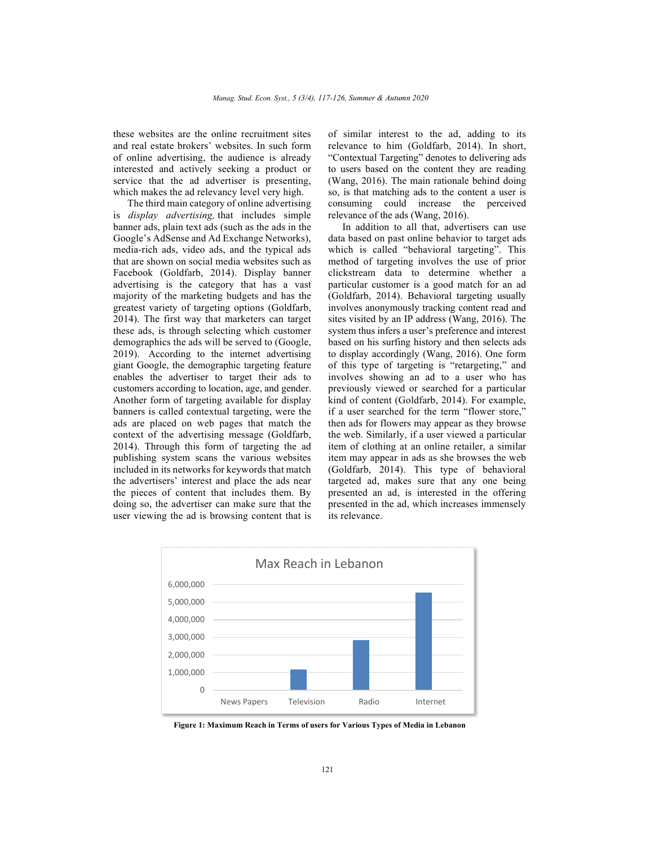these websites are the online recruitment sites and real estate brokers' websites. In such form of online advertising, the audience is already interested and actively seeking a product or service that the ad advertiser is presenting, which makes the ad relevancy level very high.

The third main category of online advertising is *display advertising,* that includes simple banner ads, plain text ads (such as the ads in the Google's AdSense and Ad Exchange Networks), media-rich ads, video ads, and the typical ads that are shown on social media websites such as Facebook (Goldfarb, 2014). Display banner advertising is the category that has a vast majority of the marketing budgets and has the greatest variety of targeting options (Goldfarb, 2014). The first way that marketers can target these ads, is through selecting which customer demographics the ads will be served to (Google, 2019). According to the internet advertising giant Google, the demographic targeting feature enables the advertiser to target their ads to customers according to location, age, and gender. Another form of targeting available for display banners is called contextual targeting, were the ads are placed on web pages that match the context of the advertising message (Goldfarb, 2014). Through this form of targeting the ad publishing system scans the various websites included in its networks for keywords that match the advertisers' interest and place the ads near the pieces of content that includes them. By doing so, the advertiser can make sure that the user viewing the ad is browsing content that is

of similar interest to the ad, adding to its relevance to him (Goldfarb, 2014). In short, "Contextual Targeting" denotes to delivering ads to users based on the content they are reading (Wang, 2016). The main rationale behind doing so, is that matching ads to the content a user is consuming could increase the perceived relevance of the ads (Wang, 2016).

In addition to all that, advertisers can use data based on past online behavior to target ads which is called "behavioral targeting". This method of targeting involves the use of prior clickstream data to determine whether a particular customer is a good match for an ad (Goldfarb, 2014). Behavioral targeting usually involves anonymously tracking content read and sites visited by an IP address (Wang, 2016). The system thus infers a user's preference and interest based on his surfing history and then selects ads to display accordingly (Wang, 2016). One form of this type of targeting is "retargeting," and involves showing an ad to a user who has previously viewed or searched for a particular kind of content (Goldfarb, 2014). For example, if a user searched for the term "flower store," then ads for flowers may appear as they browse the web. Similarly, if a user viewed a particular item of clothing at an online retailer, a similar item may appear in ads as she browses the web (Goldfarb, 2014). This type of behavioral targeted ad, makes sure that any one being presented an ad, is interested in the offering presented in the ad, which increases immensely its relevance.



**Figure 1: Maximum Reach in Terms of users for Various Types of Media in Lebanon**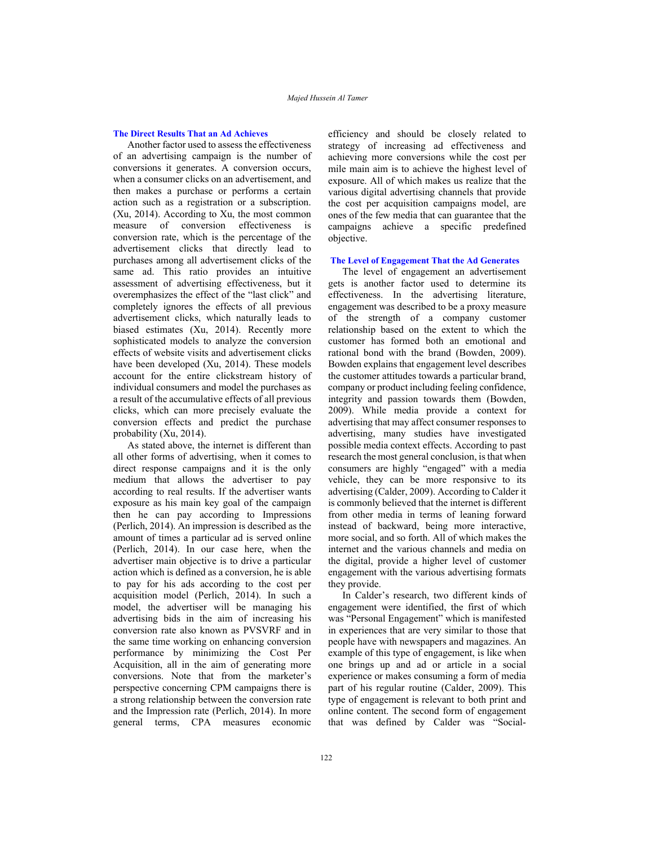## **The Direct Results That an Ad Achieves**

Another factor used to assess the effectiveness of an advertising campaign is the number of conversions it generates. A conversion occurs, when a consumer clicks on an advertisement, and then makes a purchase or performs a certain action such as a registration or a subscription. (Xu, 2014). According to Xu, the most common measure of conversion effectiveness is conversion rate, which is the percentage of the advertisement clicks that directly lead to purchases among all advertisement clicks of the same ad. This ratio provides an intuitive assessment of advertising effectiveness, but it overemphasizes the effect of the "last click" and completely ignores the effects of all previous advertisement clicks, which naturally leads to biased estimates (Xu, 2014). Recently more sophisticated models to analyze the conversion effects of website visits and advertisement clicks have been developed (Xu, 2014). These models account for the entire clickstream history of individual consumers and model the purchases as a result of the accumulative effects of all previous clicks, which can more precisely evaluate the conversion effects and predict the purchase probability (Xu, 2014).

As stated above, the internet is different than all other forms of advertising, when it comes to direct response campaigns and it is the only medium that allows the advertiser to pay according to real results. If the advertiser wants exposure as his main key goal of the campaign then he can pay according to Impressions (Perlich, 2014). An impression is described as the amount of times a particular ad is served online (Perlich, 2014). In our case here, when the advertiser main objective is to drive a particular action which is defined as a conversion, he is able to pay for his ads according to the cost per acquisition model (Perlich, 2014). In such a model, the advertiser will be managing his advertising bids in the aim of increasing his conversion rate also known as PVSVRF and in the same time working on enhancing conversion performance by minimizing the Cost Per Acquisition, all in the aim of generating more conversions. Note that from the marketer's perspective concerning CPM campaigns there is a strong relationship between the conversion rate and the Impression rate (Perlich, 2014). In more general terms, CPA measures economic

efficiency and should be closely related to strategy of increasing ad effectiveness and achieving more conversions while the cost per mile main aim is to achieve the highest level of exposure. All of which makes us realize that the various digital advertising channels that provide the cost per acquisition campaigns model, are ones of the few media that can guarantee that the campaigns achieve a specific predefined objective.

## **The Level of Engagement That the Ad Generates**

The level of engagement an advertisement gets is another factor used to determine its effectiveness. In the advertising literature, engagement was described to be a proxy measure of the strength of a company customer relationship based on the extent to which the customer has formed both an emotional and rational bond with the brand (Bowden, 2009). Bowden explains that engagement level describes the customer attitudes towards a particular brand, company or product including feeling confidence, integrity and passion towards them (Bowden, 2009). While media provide a context for advertising that may affect consumer responses to advertising, many studies have investigated possible media context effects. According to past research the most general conclusion, is that when consumers are highly "engaged" with a media vehicle, they can be more responsive to its advertising (Calder, 2009). According to Calder it is commonly believed that the internet is different from other media in terms of leaning forward instead of backward, being more interactive, more social, and so forth. All of which makes the internet and the various channels and media on the digital, provide a higher level of customer engagement with the various advertising formats they provide.

In Calder's research, two different kinds of engagement were identified, the first of which was "Personal Engagement" which is manifested in experiences that are very similar to those that people have with newspapers and magazines. An example of this type of engagement, is like when one brings up and ad or article in a social experience or makes consuming a form of media part of his regular routine (Calder, 2009). This type of engagement is relevant to both print and online content. The second form of engagement that was defined by Calder was "Social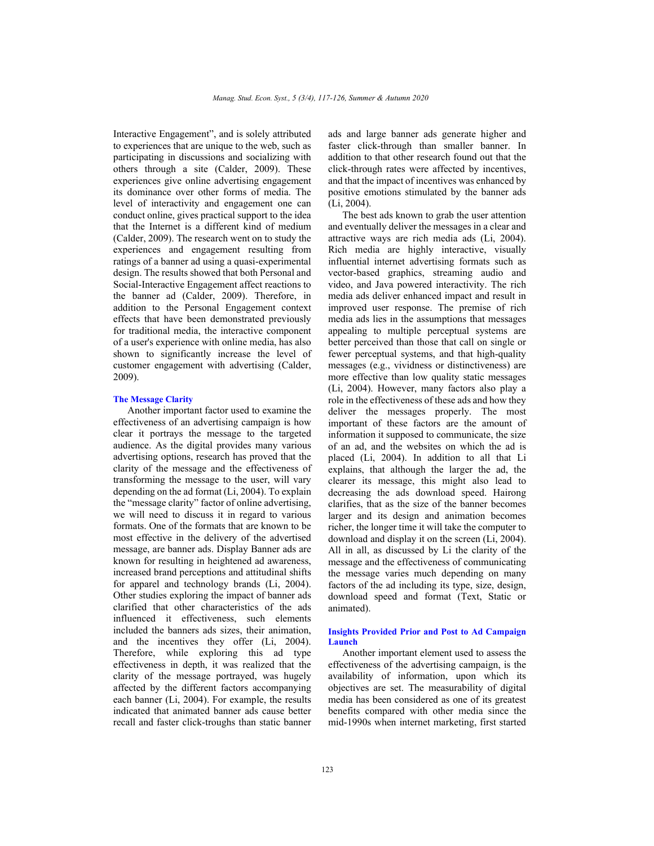Interactive Engagement", and is solely attributed to experiences that are unique to the web, such as participating in discussions and socializing with others through a site (Calder, 2009). These experiences give online advertising engagement its dominance over other forms of media. The level of interactivity and engagement one can conduct online, gives practical support to the idea that the Internet is a different kind of medium (Calder, 2009). The research went on to study the experiences and engagement resulting from ratings of a banner ad using a quasi-experimental design. The results showed that both Personal and Social-Interactive Engagement affect reactions to the banner ad (Calder, 2009). Therefore, in addition to the Personal Engagement context effects that have been demonstrated previously for traditional media, the interactive component of a user's experience with online media, has also shown to significantly increase the level of customer engagement with advertising (Calder, 2009).

#### **The Message Clarity**

Another important factor used to examine the effectiveness of an advertising campaign is how clear it portrays the message to the targeted audience. As the digital provides many various advertising options, research has proved that the clarity of the message and the effectiveness of transforming the message to the user, will vary depending on the ad format (Li, 2004). To explain the "message clarity" factor of online advertising, we will need to discuss it in regard to various formats. One of the formats that are known to be most effective in the delivery of the advertised message, are banner ads. Display Banner ads are known for resulting in heightened ad awareness, increased brand perceptions and attitudinal shifts for apparel and technology brands (Li, 2004). Other studies exploring the impact of banner ads clarified that other characteristics of the ads influenced it effectiveness, such elements included the banners ads sizes, their animation, and the incentives they offer (Li, 2004). Therefore, while exploring this ad type effectiveness in depth, it was realized that the clarity of the message portrayed, was hugely affected by the different factors accompanying each banner (Li, 2004). For example, the results indicated that animated banner ads cause better recall and faster click-troughs than static banner

ads and large banner ads generate higher and faster click-through than smaller banner. In addition to that other research found out that the click-through rates were affected by incentives, and that the impact of incentives was enhanced by positive emotions stimulated by the banner ads (Li, 2004).

The best ads known to grab the user attention and eventually deliver the messages in a clear and attractive ways are rich media ads (Li, 2004). Rich media are highly interactive, visually influential internet advertising formats such as vector-based graphics, streaming audio and video, and Java powered interactivity. The rich media ads deliver enhanced impact and result in improved user response. The premise of rich media ads lies in the assumptions that messages appealing to multiple perceptual systems are better perceived than those that call on single or fewer perceptual systems, and that high-quality messages (e.g., vividness or distinctiveness) are more effective than low quality static messages (Li, 2004). However, many factors also play a role in the effectiveness of these ads and how they deliver the messages properly. The most important of these factors are the amount of information it supposed to communicate, the size of an ad, and the websites on which the ad is placed (Li, 2004). In addition to all that Li explains, that although the larger the ad, the clearer its message, this might also lead to decreasing the ads download speed. Hairong clarifies, that as the size of the banner becomes larger and its design and animation becomes richer, the longer time it will take the computer to download and display it on the screen (Li, 2004). All in all, as discussed by Li the clarity of the message and the effectiveness of communicating the message varies much depending on many factors of the ad including its type, size, design, download speed and format (Text, Static or animated).

#### **Insights Provided Prior and Post to Ad Campaign Launch**

Another important element used to assess the effectiveness of the advertising campaign, is the availability of information, upon which its objectives are set. The measurability of digital media has been considered as one of its greatest benefits compared with other media since the mid-1990s when internet marketing, first started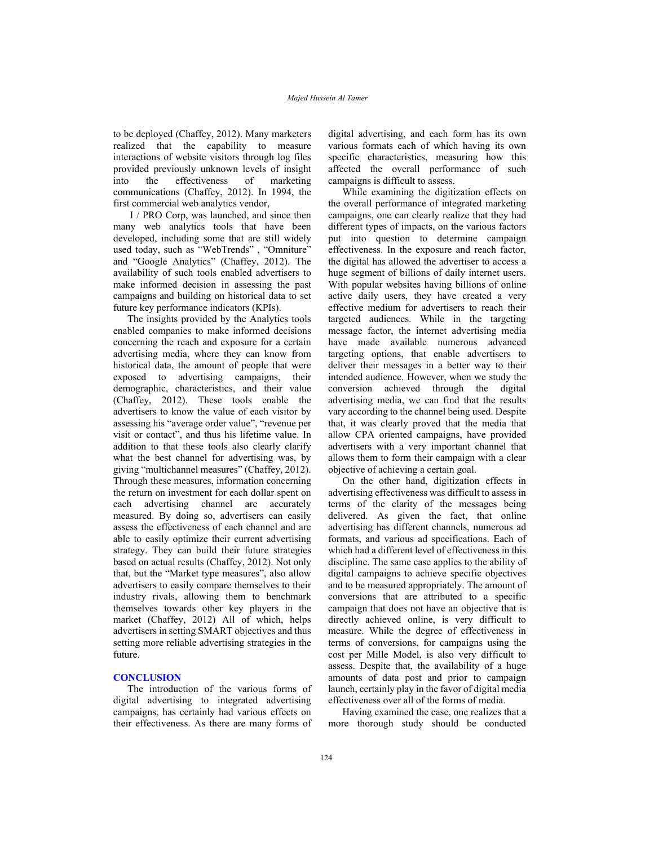to be deployed (Chaffey, 2012). Many marketers realized that the capability to measure interactions of website visitors through log files provided previously unknown levels of insight into the effectiveness of marketing communications (Chaffey, 2012). In 1994, the first commercial web analytics vendor,

 I / PRO Corp, was launched, and since then many web analytics tools that have been developed, including some that are still widely used today, such as "WebTrends" , "Omniture" and "Google Analytics" (Chaffey, 2012). The availability of such tools enabled advertisers to make informed decision in assessing the past campaigns and building on historical data to set future key performance indicators (KPIs).

The insights provided by the Analytics tools enabled companies to make informed decisions concerning the reach and exposure for a certain advertising media, where they can know from historical data, the amount of people that were exposed to advertising campaigns, their demographic, characteristics, and their value (Chaffey, 2012). These tools enable the advertisers to know the value of each visitor by assessing his "average order value", "revenue per visit or contact", and thus his lifetime value. In addition to that these tools also clearly clarify what the best channel for advertising was, by giving "multichannel measures" (Chaffey, 2012). Through these measures, information concerning the return on investment for each dollar spent on each advertising channel are accurately measured. By doing so, advertisers can easily assess the effectiveness of each channel and are able to easily optimize their current advertising strategy. They can build their future strategies based on actual results (Chaffey, 2012). Not only that, but the "Market type measures", also allow advertisers to easily compare themselves to their industry rivals, allowing them to benchmark themselves towards other key players in the market (Chaffey, 2012) All of which, helps advertisers in setting SMART objectives and thus setting more reliable advertising strategies in the future.

## **CONCLUSION**

The introduction of the various forms of digital advertising to integrated advertising campaigns, has certainly had various effects on their effectiveness. As there are many forms of digital advertising, and each form has its own various formats each of which having its own specific characteristics, measuring how this affected the overall performance of such campaigns is difficult to assess.

While examining the digitization effects on the overall performance of integrated marketing campaigns, one can clearly realize that they had different types of impacts, on the various factors put into question to determine campaign effectiveness. In the exposure and reach factor, the digital has allowed the advertiser to access a huge segment of billions of daily internet users. With popular websites having billions of online active daily users, they have created a very effective medium for advertisers to reach their targeted audiences. While in the targeting message factor, the internet advertising media have made available numerous advanced targeting options, that enable advertisers to deliver their messages in a better way to their intended audience. However, when we study the conversion achieved through the digital advertising media, we can find that the results vary according to the channel being used. Despite that, it was clearly proved that the media that allow CPA oriented campaigns, have provided advertisers with a very important channel that allows them to form their campaign with a clear objective of achieving a certain goal.

On the other hand, digitization effects in advertising effectiveness was difficult to assess in terms of the clarity of the messages being delivered. As given the fact, that online advertising has different channels, numerous ad formats, and various ad specifications. Each of which had a different level of effectiveness in this discipline. The same case applies to the ability of digital campaigns to achieve specific objectives and to be measured appropriately. The amount of conversions that are attributed to a specific campaign that does not have an objective that is directly achieved online, is very difficult to measure. While the degree of effectiveness in terms of conversions, for campaigns using the cost per Mille Model, is also very difficult to assess. Despite that, the availability of a huge amounts of data post and prior to campaign launch, certainly play in the favor of digital media effectiveness over all of the forms of media.

Having examined the case, one realizes that a more thorough study should be conducted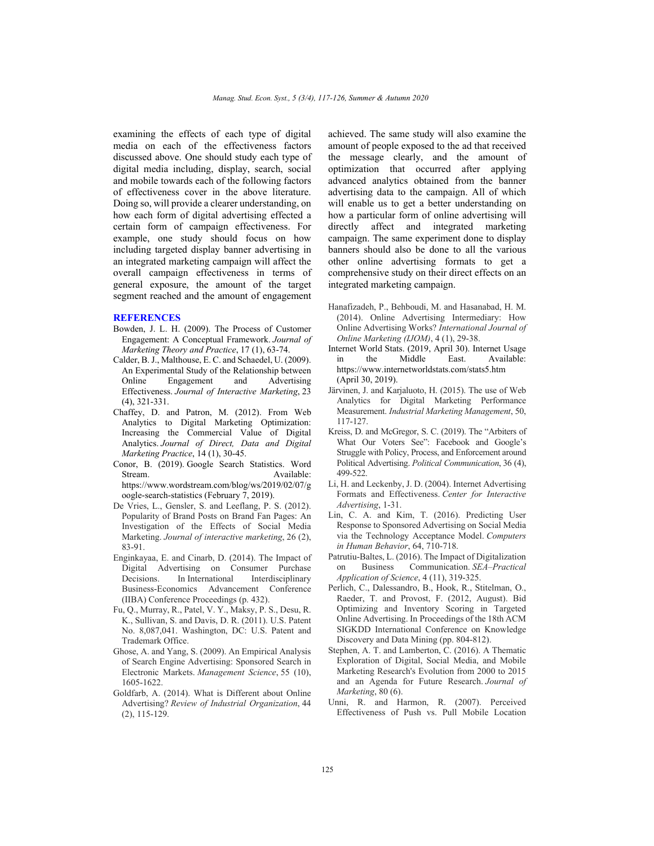examining the effects of each type of digital media on each of the effectiveness factors discussed above. One should study each type of digital media including, display, search, social and mobile towards each of the following factors of effectiveness cover in the above literature. Doing so, will provide a clearer understanding, on how each form of digital advertising effected a certain form of campaign effectiveness. For example, one study should focus on how including targeted display banner advertising in an integrated marketing campaign will affect the overall campaign effectiveness in terms of general exposure, the amount of the target segment reached and the amount of engagement

#### **REFERENCES**

- Bowden, J. L. H. (2009). The Process of Customer Engagement: A Conceptual Framework. *Journal of Marketing Theory and Practice*, 17 (1), 63-74.
- Calder, B. J., Malthouse, E. C. and Schaedel, U. (2009). An Experimental Study of the Relationship between Online Engagement and Advertising Effectiveness. *Journal of Interactive Marketing*, 23 (4), 321-331.
- Chaffey, D. and Patron, M. (2012). From Web Analytics to Digital Marketing Optimization: Increasing the Commercial Value of Digital Analytics. *Journal of Direct, Data and Digital Marketing Practice*, 14 (1), 30-45.
- Conor, B. (2019). Google Search Statistics. Word Stream. Available: https://www.wordstream.com/blog/ws/2019/02/07/g oogle-search-statistics (February 7, 2019).
- De Vries, L., Gensler, S. and Leeflang, P. S. (2012). Popularity of Brand Posts on Brand Fan Pages: An Investigation of the Effects of Social Media Marketing. *Journal of interactive marketing*, 26 (2), 83-91.
- Enginkayaa, E. and Cinarb, D. (2014). The Impact of Digital Advertising on Consumer Purchase Decisions. In International Interdisciplinary Business-Economics Advancement Conference (IIBA) Conference Proceedings (p. 432).
- Fu, Q., Murray, R., Patel, V. Y., Maksy, P. S., Desu, R. K., Sullivan, S. and Davis, D. R. (2011). U.S. Patent No. 8,087,041. Washington, DC: U.S. Patent and Trademark Office.
- Ghose, A. and Yang, S. (2009). An Empirical Analysis of Search Engine Advertising: Sponsored Search in Electronic Markets. *Management Science*, 55 (10), 1605-1622.
- Goldfarb, A. (2014). What is Different about Online Advertising? *Review of Industrial Organization*, 44 (2), 115-129.

achieved. The same study will also examine the amount of people exposed to the ad that received the message clearly, and the amount of optimization that occurred after applying advanced analytics obtained from the banner advertising data to the campaign. All of which will enable us to get a better understanding on how a particular form of online advertising will directly affect and integrated marketing campaign. The same experiment done to display banners should also be done to all the various other online advertising formats to get a comprehensive study on their direct effects on an integrated marketing campaign.

- Hanafizadeh, P., Behboudi, M. and Hasanabad, H. M. (2014). Online Advertising Intermediary: How Online Advertising Works? *International Journal of Online Marketing (IJOM)*, 4 (1), 29-38.
- Internet World Stats. (2019, April 30). Internet Usage in the Middle East. Available: https://www.internetworldstats.com/stats5.htm (April 30, 2019).
- Järvinen, J. and Karjaluoto, H. (2015). The use of Web Analytics for Digital Marketing Performance Measurement. *Industrial Marketing Management*, 50, 117-127.
- Kreiss, D. and McGregor, S. C. (2019). The "Arbiters of What Our Voters See": Facebook and Google's Struggle with Policy, Process, and Enforcement around Political Advertising. *Political Communication*, 36 (4), 499-522.
- Li, H. and Leckenby, J. D. (2004). Internet Advertising Formats and Effectiveness. *Center for Interactive Advertising*, 1-31.
- Lin, C. A. and Kim, T. (2016). Predicting User Response to Sponsored Advertising on Social Media via the Technology Acceptance Model. *Computers in Human Behavior*, 64, 710-718.
- Patrutiu-Baltes, L. (2016). The Impact of Digitalization on Business Communication. *SEA–Practical Application of Science*, 4 (11), 319-325.
- Perlich, C., Dalessandro, B., Hook, R., Stitelman, O., Raeder, T. and Provost, F. (2012, August). Bid Optimizing and Inventory Scoring in Targeted Online Advertising. In Proceedings of the 18th ACM SIGKDD International Conference on Knowledge Discovery and Data Mining (pp. 804-812).
- Stephen, A. T. and Lamberton, C. (2016). A Thematic Exploration of Digital, Social Media, and Mobile Marketing Research's Evolution from 2000 to 2015 and an Agenda for Future Research. *Journal of Marketing*, 80 (6).
- Unni, R. and Harmon, R. (2007). Perceived Effectiveness of Push vs. Pull Mobile Location